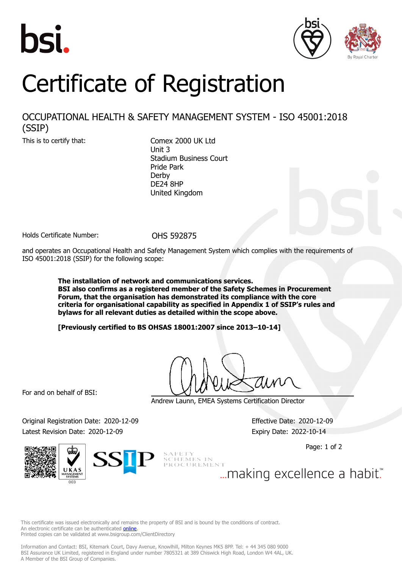



## Certificate of Registration

## OCCUPATIONAL HEALTH & SAFETY MANAGEMENT SYSTEM - ISO 45001:2018 (SSIP)

This is to certify that: Comex 2000 UK Ltd Unit 3 Stadium Business Court Pride Park Derby DE24 8HP United Kingdom

Holds Certificate Number: 0HS 592875

and operates an Occupational Health and Safety Management System which complies with the requirements of ISO 45001:2018 (SSIP) for the following scope:

> **The installation of network and communications services. BSI also confirms as a registered member of the Safety Schemes in Procurement Forum, that the organisation has demonstrated its compliance with the core criteria for organisational capability as specified in Appendix 1 of SSIP's rules and bylaws for all relevant duties as detailed within the scope above.**

**[Previously certified to BS OHSAS 18001:2007 since 2013–10-14]**

For and on behalf of BSI:

Andrew Launn, EMEA Systems Certification Director

Original Registration Date: 2020-12-09 Effective Date: 2020-12-09 Latest Revision Date: 2020-12-09 **Expiry Date: 2022-10-14** 

Page: 1 of 2





... making excellence a habit."

This certificate was issued electronically and remains the property of BSI and is bound by the conditions of contract. An electronic certificate can be authenticated **[online](https://pgplus.bsigroup.com/CertificateValidation/CertificateValidator.aspx?CertificateNumber=OHS+592875&ReIssueDate=09%2f12%2f2020&Template=uk)**. Printed copies can be validated at www.bsigroup.com/ClientDirectory

Information and Contact: BSI, Kitemark Court, Davy Avenue, Knowlhill, Milton Keynes MK5 8PP. Tel: + 44 345 080 9000 BSI Assurance UK Limited, registered in England under number 7805321 at 389 Chiswick High Road, London W4 4AL, UK. A Member of the BSI Group of Companies.